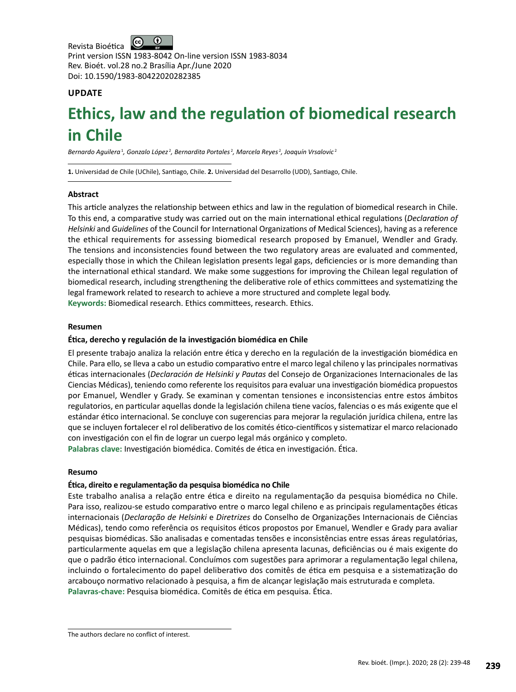$\bigcirc$ Revista Bioética Print version ISSN 1983-8042 On-line version ISSN 1983-8034 Rev. Bioét. vol.28 no.2 Brasília Apr./June 2020 Doi: 10.1590/1983-80422020282385

# **UPDATE**

# **Ethics, law and the regulation of biomedical research in Chile**

Bernardo Aguilera<sup>1</sup>, Gonzalo López<sup>2</sup>, Bernardita Portales<sup>2</sup>, Marcela Reyes<sup>2</sup>, Joaquín Vrsalovic<sup>2</sup>

**1.** Universidad de Chile (UChile), Santiago, Chile. **2.** Universidad del Desarrollo (UDD), Santiago, Chile.

# **Abstract**

This article analyzes the relationship between ethics and law in the regulation of biomedical research in Chile. To this end, a comparative study was carried out on the main international ethical regulations (*Declaration of Helsinki* and *Guidelines* of the Council for International Organizations of Medical Sciences), having as a reference the ethical requirements for assessing biomedical research proposed by Emanuel, Wendler and Grady. The tensions and inconsistencies found between the two regulatory areas are evaluated and commented, especially those in which the Chilean legislation presents legal gaps, deficiencies or is more demanding than the international ethical standard. We make some suggestions for improving the Chilean legal regulation of biomedical research, including strengthening the deliberative role of ethics committees and systematizing the legal framework related to research to achieve a more structured and complete legal body. **Keywords:** Biomedical research. Ethics committees, research. Ethics.

# **Resumen**

# **Ética, derecho y regulación de la investigación biomédica en Chile**

El presente trabajo analiza la relación entre ética y derecho en la regulación de la investigación biomédica en Chile. Para ello, se lleva a cabo un estudio comparativo entre el marco legal chileno y las principales normativas éticas internacionales (*Declaración de Helsinki y Pautas* del Consejo de Organizaciones Internacionales de las Ciencias Médicas), teniendo como referente los requisitos para evaluar una investigación biomédica propuestos por Emanuel, Wendler y Grady. Se examinan y comentan tensiones e inconsistencias entre estos ámbitos regulatorios, en particular aquellas donde la legislación chilena tiene vacíos, falencias o es más exigente que el estándar ético internacional. Se concluye con sugerencias para mejorar la regulación jurídica chilena, entre las que se incluyen fortalecer el rol deliberativo de los comités ético-científicos y sistematizar el marco relacionado con investigación con el fin de lograr un cuerpo legal más orgánico y completo.

**Palabras clave:** Investigación biomédica. Comités de ética en investigación. Ética.

# **Resumo**

# **Ética, direito e regulamentação da pesquisa biomédica no Chile**

Este trabalho analisa a relação entre ética e direito na regulamentação da pesquisa biomédica no Chile. Para isso, realizou-se estudo comparativo entre o marco legal chileno e as principais regulamentações éticas internacionais (*Declaração de Helsinki* e *Diretrizes* do Conselho de Organizações Internacionais de Ciências Médicas), tendo como referência os requisitos éticos propostos por Emanuel, Wendler e Grady para avaliar pesquisas biomédicas. São analisadas e comentadas tensões e inconsistências entre essas áreas regulatórias, particularmente aquelas em que a legislação chilena apresenta lacunas, deficiências ou é mais exigente do que o padrão ético internacional. Concluímos com sugestões para aprimorar a regulamentação legal chilena, incluindo o fortalecimento do papel deliberativo dos comitês de ética em pesquisa e a sistematização do arcabouço normativo relacionado à pesquisa, a fim de alcançar legislação mais estruturada e completa. **Palavras-chave:** Pesquisa biomédica. Comitês de ética em pesquisa. Ética.

The authors declare no conflict of interest.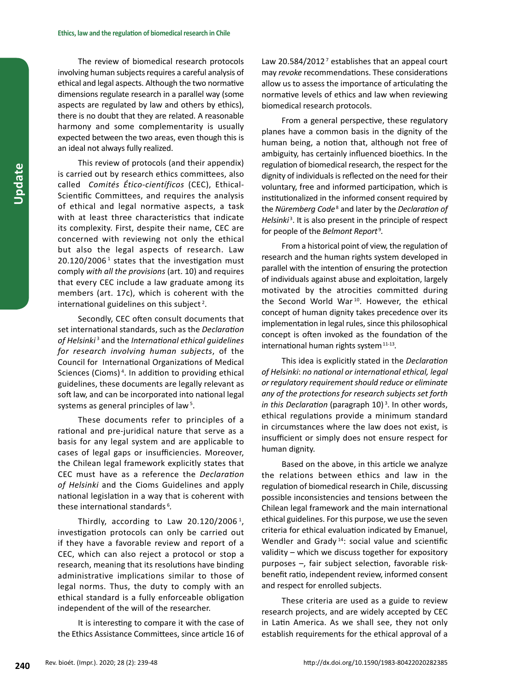The review of biomedical research protocols involving human subjects requires a careful analysis of ethical and legal aspects. Although the two normative dimensions regulate research in a parallel way (some aspects are regulated by law and others by ethics), there is no doubt that they are related. A reasonable harmony and some complementarity is usually expected between the two areas, even though this is an ideal not always fully realized.

This review of protocols (and their appendix) is carried out by research ethics committees, also called *Comités Ético-científicos* (CEC), Ethical-Scientific Committees, and requires the analysis of ethical and legal normative aspects, a task with at least three characteristics that indicate its complexity. First, despite their name, CEC are concerned with reviewing not only the ethical but also the legal aspects of research. Law  $20.120/2006<sup>1</sup>$  states that the investigation must comply *with all the provisions* (art. 10) and requires that every CEC include a law graduate among its members (art. 17c), which is coherent with the international guidelines on this subject<sup>2</sup>.

Secondly, CEC often consult documents that set international standards, such as the *Declaration of Helsinki*<sup>3</sup> and the *International ethical guidelines for research involving human subjects*, of the Council for International Organizations of Medical Sciences (Cioms)<sup>4</sup>. In addition to providing ethical guidelines, these documents are legally relevant as soft law, and can be incorporated into national legal systems as general principles of law<sup>5</sup>.

These documents refer to principles of a rational and pre-juridical nature that serve as a basis for any legal system and are applicable to cases of legal gaps or insufficiencies. Moreover, the Chilean legal framework explicitly states that CEC must have as a reference the *Declaration of Helsinki* and the Cioms Guidelines and apply national legislation in a way that is coherent with these international standards <sup>6</sup> *.*

Thirdly, according to Law  $20.120/2006$ <sup>1</sup>, investigation protocols can only be carried out if they have a favorable review and report of a CEC, which can also reject a protocol or stop a research, meaning that its resolutions have binding administrative implications similar to those of legal norms. Thus, the duty to comply with an ethical standard is a fully enforceable obligation independent of the will of the researcher.

It is interesting to compare it with the case of the Ethics Assistance Committees, since article 16 of Law 20.584/2012<sup> $7$ </sup> establishes that an appeal court may *revoke* recommendations. These considerations allow us to assess the importance of articulating the normative levels of ethics and law when reviewing biomedical research protocols.

From a general perspective, these regulatory planes have a common basis in the dignity of the human being, a notion that, although not free of ambiguity, has certainly influenced bioethics. In the regulation of biomedical research, the respect for the dignity of individuals is reflected on the need for their voluntary, free and informed participation, which is institutionalized in the informed consent required by the *Nüremberg Code*<sup>8</sup> and later by the *Declaration of*  Helsinki<sup>3</sup>. It is also present in the principle of respect for people of the *Belmont Report<sup>9</sup>*.

From a historical point of view, the regulation of research and the human rights system developed in parallel with the intention of ensuring the protection of individuals against abuse and exploitation, largely motivated by the atrocities committed during the Second World War<sup>10</sup>. However, the ethical concept of human dignity takes precedence over its implementation in legal rules, since this philosophical concept is often invoked as the foundation of the international human rights system 11-13*.*

This idea is explicitly stated in the *Declaration of Helsinki*: *no national or international ethical, legal or regulatory requirement should reduce or eliminate any of the protections for research subjects set forth*  in this Declaration (paragraph 10)<sup>3</sup>. In other words, ethical regulations provide a minimum standard in circumstances where the law does not exist, is insufficient or simply does not ensure respect for human dignity.

Based on the above, in this article we analyze the relations between ethics and law in the regulation of biomedical research in Chile, discussing possible inconsistencies and tensions between the Chilean legal framework and the main international ethical guidelines. For this purpose, we use the seven criteria for ethical evaluation indicated by Emanuel, Wendler and Grady<sup>14</sup>: social value and scientific validity – which we discuss together for expository purposes –, fair subject selection, favorable riskbenefit ratio, independent review, informed consent and respect for enrolled subjects.

These criteria are used as a guide to review research projects, and are widely accepted by CEC in Latin America. As we shall see, they not only establish requirements for the ethical approval of a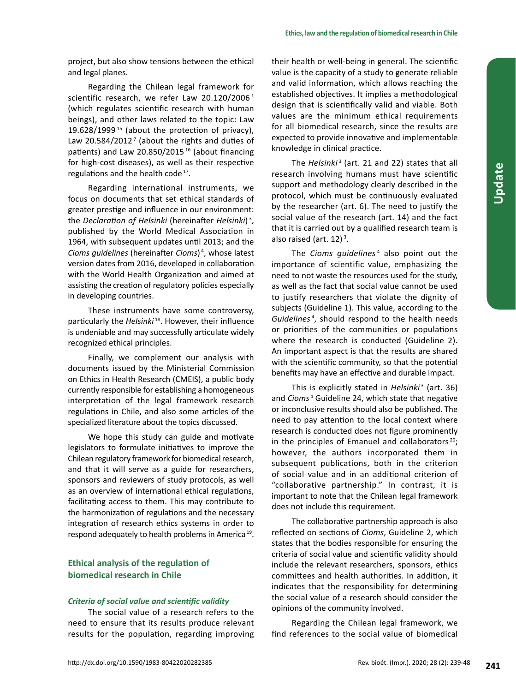project, but also show tensions between the ethical and legal planes.

Regarding the Chilean legal framework for scientific research, we refer Law 20.120/2006<sup>1</sup> (which regulates scientific research with human beings), and other laws related to the topic: Law 19.628/1999<sup>15</sup> (about the protection of privacy), Law 20.584/2012<sup> $7$ </sup> (about the rights and duties of patients) and Law 20.850/2015<sup>16</sup> (about financing for high-cost diseases), as well as their respective regulations and the health code<sup>17</sup>.

Regarding international instruments, we focus on documents that set ethical standards of greater prestige and influence in our environment: the *Declaration of Helsinki* (hereinafter *Helsinki*) <sup>3</sup> , published by the World Medical Association in 1964, with subsequent updates until 2013; and the *Cioms guidelines* (hereinafter *Cioms*) <sup>4</sup> , whose latest version dates from 2016, developed in collaboration with the World Health Organization and aimed at assisting the creation of regulatory policies especially in developing countries.

These instruments have some controversy, particularly the *Helsinki* <sup>18</sup>. However, their influence is undeniable and may successfully articulate widely recognized ethical principles.

Finally, we complement our analysis with documents issued by the Ministerial Commission on Ethics in Health Research (CMEIS), a public body currently responsible for establishing a homogeneous interpretation of the legal framework research regulations in Chile, and also some articles of the specialized literature about the topics discussed.

We hope this study can guide and motivate legislators to formulate initiatives to improve the Chilean regulatory framework for biomedical research, and that it will serve as a guide for researchers, sponsors and reviewers of study protocols, as well as an overview of international ethical regulations, facilitating access to them. This may contribute to the harmonization of regulations and the necessary integration of research ethics systems in order to respond adequately to health problems in America 19.

# **Ethical analysis of the regulation of biomedical research in Chile**

# *Criteria of social value and scientific validity*

The social value of a research refers to the need to ensure that its results produce relevant results for the population, regarding improving

their health or well-being in general. The scientific value is the capacity of a study to generate reliable and valid information, which allows reaching the established objectives. It implies a methodological design that is scientifically valid and viable. Both values are the minimum ethical requirements for all biomedical research, since the results are expected to provide innovative and implementable knowledge in clinical practice.

The *Helsinki*<sup>3</sup> (art. 21 and 22) states that all research involving humans must have scientific support and methodology clearly described in the protocol, which must be continuously evaluated by the researcher (art. 6). The need to justify the social value of the research (art. 14) and the fact that it is carried out by a qualified research team is also raised (art. 12)<sup>3</sup>.

The *Cioms guidelines*<sup>4</sup> also point out the importance of scientific value, emphasizing the need to not waste the resources used for the study, as well as the fact that social value cannot be used to justify researchers that violate the dignity of subjects (Guideline 1). This value, according to the *Guidelines* <sup>4</sup> , should respond to the health needs or priorities of the communities or populations where the research is conducted (Guideline 2). An important aspect is that the results are shared with the scientific community, so that the potential benefits may have an effective and durable impact.

This is explicitly stated in *Helsinki<sup>3</sup>* (art. 36) and *Cioms* <sup>4</sup> Guideline 24, which state that negative or inconclusive results should also be published. The need to pay attention to the local context where research is conducted does not figure prominently in the principles of Emanuel and collaborators $20$ ; however, the authors incorporated them in subsequent publications, both in the criterion of social value and in an additional criterion of "collaborative partnership." In contrast, it is important to note that the Chilean legal framework does not include this requirement.

The collaborative partnership approach is also reflected on sections of *Cioms*, Guideline 2, which states that the bodies responsible for ensuring the criteria of social value and scientific validity should include the relevant researchers, sponsors, ethics committees and health authorities. In addition, it indicates that the responsibility for determining the social value of a research should consider the opinions of the community involved.

Regarding the Chilean legal framework, we find references to the social value of biomedical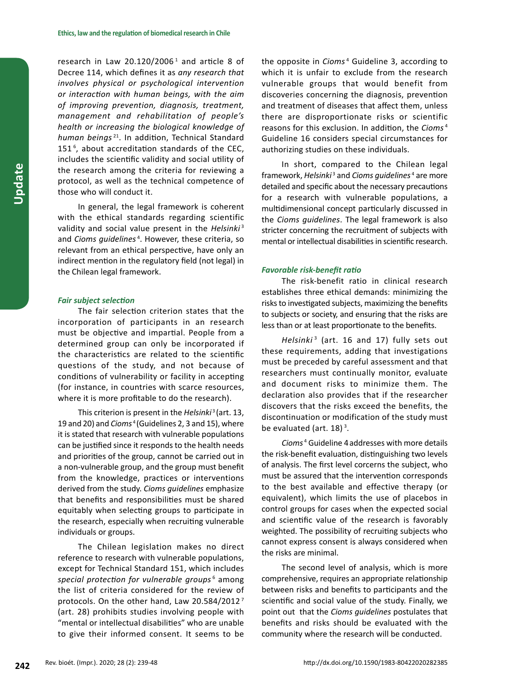research in Law 20.120/2006 $^1$  and article 8 of Decree 114, which defines it as *any research that involves physical or psychological intervention or interaction with human beings, with the aim of improving prevention, diagnosis, treatment, management and rehabilitation of people's health or increasing the biological knowledge of human beings*<sup>21</sup>. In addition, Technical Standard 151 <sup>6</sup> , about accreditation standards of the CEC, includes the scientific validity and social utility of the research among the criteria for reviewing a protocol, as well as the technical competence of those who will conduct it.

In general, the legal framework is coherent with the ethical standards regarding scientific validity and social value present in the *Helsinki*<sup>3</sup> and *Cioms guidelines* <sup>4</sup> . However, these criteria, so relevant from an ethical perspective, have only an indirect mention in the regulatory field (not legal) in the Chilean legal framework.

## *Fair subject selection*

The fair selection criterion states that the incorporation of participants in an research must be objective and impartial. People from a determined group can only be incorporated if the characteristics are related to the scientific questions of the study, and not because of conditions of vulnerability or facility in accepting (for instance, in countries with scarce resources, where it is more profitable to do the research).

This criterion is present in the *Helsinki*3 (art. 13, 19 and 20) and *Cioms*<sup>4</sup>(Guidelines 2, 3 and 15), where it is stated that research with vulnerable populations can be justified since it responds to the health needs and priorities of the group, cannot be carried out in a non-vulnerable group, and the group must benefit from the knowledge, practices or interventions derived from the study. *Cioms guidelines* emphasize that benefits and responsibilities must be shared equitably when selecting groups to participate in the research, especially when recruiting vulnerable individuals or groups.

The Chilean legislation makes no direct reference to research with vulnerable populations, except for Technical Standard 151, which includes *special protection for vulnerable groups*<sup>6</sup> among the list of criteria considered for the review of protocols. On the other hand, Law 20.584/2012 <sup>7</sup> (art. 28) prohibits studies involving people with "mental or intellectual disabilities" who are unable to give their informed consent. It seems to be

the opposite in *Cioms* <sup>4</sup> Guideline 3, according to which it is unfair to exclude from the research vulnerable groups that would benefit from discoveries concerning the diagnosis, prevention and treatment of diseases that affect them, unless there are disproportionate risks or scientific reasons for this exclusion. In addition, the *Cioms* <sup>4</sup> Guideline 16 considers special circumstances for authorizing studies on these individuals.

In short, compared to the Chilean legal framework, *Helsinki*<sup>3</sup> and *Cioms guidelines*<sup>4</sup> are more detailed and specific about the necessary precautions for a research with vulnerable populations, a multidimensional concept particularly discussed in the *Cioms guidelines*. The legal framework is also stricter concerning the recruitment of subjects with mental or intellectual disabilities in scientific research.

## *Favorable risk-benefit ratio*

The risk-benefit ratio in clinical research establishes three ethical demands: minimizing the risks to investigated subjects, maximizing the benefits to subjects or society, and ensuring that the risks are less than or at least proportionate to the benefits.

*Helsinki* <sup>3</sup> (art. 16 and 17) fully sets out these requirements, adding that investigations must be preceded by careful assessment and that researchers must continually monitor, evaluate and document risks to minimize them. The declaration also provides that if the researcher discovers that the risks exceed the benefits, the discontinuation or modification of the study must be evaluated (art.  $18$ )<sup>3</sup>.

*Cioms*<sup>4</sup> Guideline 4addresses with more details the risk-benefit evaluation, distinguishing two levels of analysis. The first level corcerns the subject, who must be assured that the intervention corresponds to the best available and effective therapy (or equivalent), which limits the use of placebos in control groups for cases when the expected social and scientific value of the research is favorably weighted. The possibility of recruiting subjects who cannot express consent is always considered when the risks are minimal.

The second level of analysis, which is more comprehensive, requires an appropriate relationship between risks and benefits to participants and the scientific and social value of the study. Finally, we point out that the *Cioms guidelines* postulates that benefits and risks should be evaluated with the community where the research will be conducted.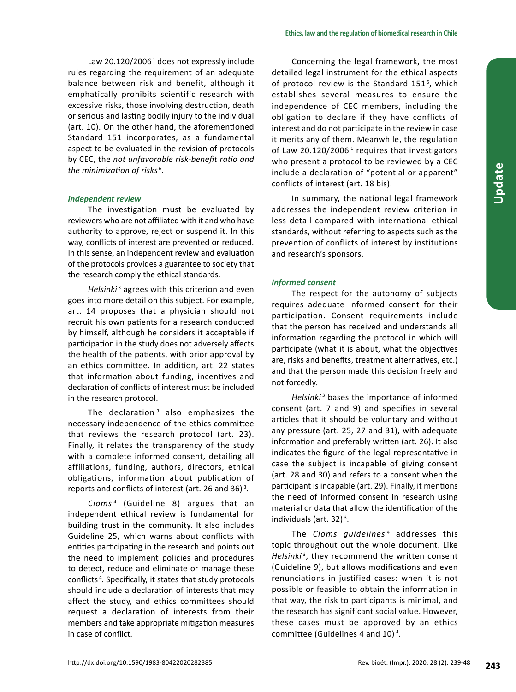Law 20.120/2006<sup>1</sup> does not expressly include rules regarding the requirement of an adequate balance between risk and benefit, although it emphatically prohibits scientific research with excessive risks, those involving destruction, death or serious and lasting bodily injury to the individual (art. 10). On the other hand, the aforementioned Standard 151 incorporates, as a fundamental aspect to be evaluated in the revision of protocols by CEC, the *not unfavorable risk-benefit ratio and the minimization of risks*<sup>6</sup> *.*

# *Independent review*

The investigation must be evaluated by reviewers who are not affiliated with it and who have authority to approve, reject or suspend it. In this way, conflicts of interest are prevented or reduced. In this sense, an independent review and evaluation of the protocols provides a guarantee to society that the research comply the ethical standards.

*Helsinki*<sup>3</sup> agrees with this criterion and even goes into more detail on this subject. For example, art. 14 proposes that a physician should not recruit his own patients for a research conducted by himself, although he considers it acceptable if participation in the study does not adversely affects the health of the patients, with prior approval by an ethics committee. In addition, art. 22 states that information about funding, incentives and declaration of conflicts of interest must be included in the research protocol.

The declaration<sup>3</sup> also emphasizes the necessary independence of the ethics committee that reviews the research protocol (art. 23). Finally, it relates the transparency of the study with a complete informed consent, detailing all affiliations, funding, authors, directors, ethical obligations, information about publication of reports and conflicts of interest (art. 26 and 36) $^3$ .

*Cioms*<sup>4</sup> (Guideline 8) argues that an independent ethical review is fundamental for building trust in the community. It also includes Guideline 25, which warns about conflicts with entities participating in the research and points out the need to implement policies and procedures to detect, reduce and eliminate or manage these conflicts <sup>4</sup> . Specifically, it states that study protocols should include a declaration of interests that may affect the study, and ethics committees should request a declaration of interests from their members and take appropriate mitigation measures in case of conflict.

Concerning the legal framework, the most detailed legal instrument for the ethical aspects of protocol review is the Standard  $151<sup>6</sup>$ , which establishes several measures to ensure the independence of CEC members, including the obligation to declare if they have conflicts of interest and do not participate in the review in case it merits any of them. Meanwhile, the regulation of Law 20.120/2006 $<sup>1</sup>$  requires that investigators</sup> who present a protocol to be reviewed by a CEC include a declaration of "potential or apparent" conflicts of interest (art. 18 bis).

In summary, the national legal framework addresses the independent review criterion in less detail compared with international ethical standards, without referring to aspects such as the prevention of conflicts of interest by institutions and research's sponsors.

**Update**

# *Informed consent*

The respect for the autonomy of subjects requires adequate informed consent for their participation. Consent requirements include that the person has received and understands all information regarding the protocol in which will participate (what it is about, what the objectives are, risks and benefits, treatment alternatives, etc.) and that the person made this decision freely and not forcedly*.*

*Helsinki*<sup>3</sup> bases the importance of informed consent (art. 7 and 9) and specifies in several articles that it should be voluntary and without any pressure (art. 25, 27 and 31), with adequate information and preferably written (art. 26). It also indicates the figure of the legal representative in case the subject is incapable of giving consent (art. 28 and 30) and refers to a consent when the participant is incapable (art. 29). Finally, it mentions the need of informed consent in research using material or data that allow the identification of the individuals (art. 32)<sup>3</sup>.

The *Cioms guidelines*<sup>4</sup> addresses this topic throughout out the whole document. Like Helsinki<sup>3</sup>, they recommend the written consent (Guideline 9), but allows modifications and even renunciations in justified cases: when it is not possible or feasible to obtain the information in that way, the risk to participants is minimal, and the research has significant social value. However, these cases must be approved by an ethics committee (Guidelines 4 and 10)<sup>4</sup>.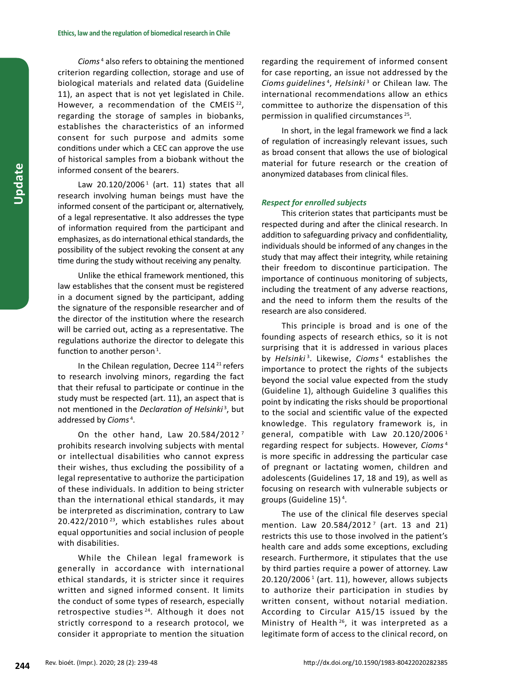*Cioms*<sup>4</sup> also refers to obtaining the mentioned criterion regarding collection, storage and use of biological materials and related data (Guideline 11), an aspect that is not yet legislated in Chile. However, a recommendation of the CMEIS<sup>22</sup>, regarding the storage of samples in biobanks, establishes the characteristics of an informed consent for such purpose and admits some conditions under which a CEC can approve the use of historical samples from a biobank without the informed consent of the bearers.

Law  $20.120/2006<sup>1</sup>$  (art. 11) states that all research involving human beings must have the informed consent of the participant or, alternatively, of a legal representative. It also addresses the type of information required from the participant and emphasizes, as do international ethical standards, the possibility of the subject revoking the consent at any time during the study without receiving any penalty.

Unlike the ethical framework mentioned, this law establishes that the consent must be registered in a document signed by the participant, adding the signature of the responsible researcher and of the director of the institution where the research will be carried out, acting as a representative. The regulations authorize the director to delegate this function to another person<sup>1</sup>.

In the Chilean regulation, Decree  $114<sup>21</sup>$  refers to research involving minors, regarding the fact that their refusal to participate or continue in the study must be respected (art. 11), an aspect that is not mentioned in the *Declaration of Helsinki*<sup>3</sup> , but addressed by *Cioms* <sup>4</sup> .

On the other hand, Law 20.584/2012<sup>7</sup> prohibits research involving subjects with mental or intellectual disabilities who cannot express their wishes, thus excluding the possibility of a legal representative to authorize the participation of these individuals. In addition to being stricter than the international ethical standards, it may be interpreted as discrimination, contrary to Law 20.422/2010 <sup>23</sup>, which establishes rules about equal opportunities and social inclusion of people with disabilities.

While the Chilean legal framework is generally in accordance with international ethical standards, it is stricter since it requires written and signed informed consent. It limits the conduct of some types of research, especially retrospective studies<sup>24</sup>. Although it does not strictly correspond to a research protocol, we consider it appropriate to mention the situation

regarding the requirement of informed consent for case reporting, an issue not addressed by the *Cioms guidelines* <sup>4</sup> , *Helsinki*<sup>3</sup> or Chilean law. The international recommendations allow an ethics committee to authorize the dispensation of this permission in qualified circumstances <sup>25</sup>*.*

In short, in the legal framework we find a lack of regulation of increasingly relevant issues, such as broad consent that allows the use of biological material for future research or the creation of anonymized databases from clinical files.

## *Respect for enrolled subjects*

This criterion states that participants must be respected during and after the clinical research. In addition to safeguarding privacy and confidentiality, individuals should be informed of any changes in the study that may affect their integrity, while retaining their freedom to discontinue participation. The importance of continuous monitoring of subjects, including the treatment of any adverse reactions, and the need to inform them the results of the research are also considered.

This principle is broad and is one of the founding aspects of research ethics, so it is not surprising that it is addressed in various places by *Helsinki<sup>3</sup>*. Likewise, *Cioms<sup>4</sup>* establishes the importance to protect the rights of the subjects beyond the social value expected from the study (Guideline 1), although Guideline 3 qualifies this point by indicating the risks should be proportional to the social and scientific value of the expected knowledge. This regulatory framework is, in general, compatible with Law 20.120/2006<sup>1</sup> regarding respect for subjects. However, *Cioms* <sup>4</sup> is more specific in addressing the particular case of pregnant or lactating women, children and adolescents (Guidelines 17, 18 and 19), as well as focusing on research with vulnerable subjects or groups (Guideline 15)<sup>4</sup>.

The use of the clinical file deserves special mention. Law 20.584/2012<sup>7</sup> (art. 13 and 21) restricts this use to those involved in the patient's health care and adds some exceptions, excluding research. Furthermore, it stipulates that the use by third parties require a power of attorney. Law 20.120/2006<sup>1</sup> (art. 11), however, allows subjects to authorize their participation in studies by written consent, without notarial mediation. According to Circular A15/15 issued by the Ministry of Health<sup>26</sup>, it was interpreted as a legitimate form of access to the clinical record, on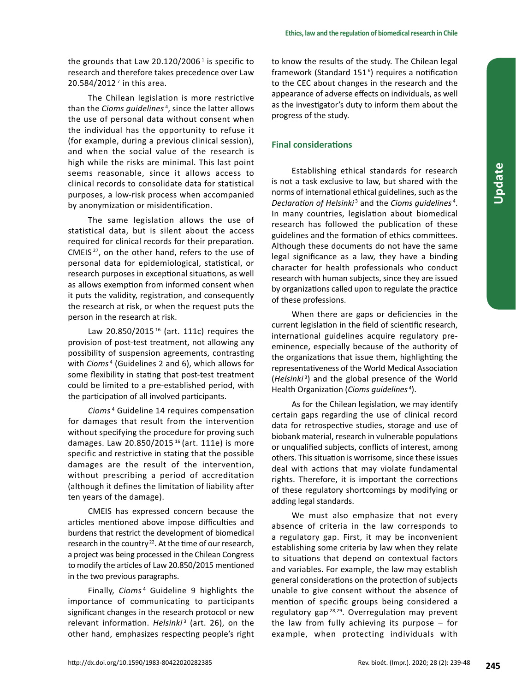the grounds that Law 20.120/2006 $^1$  is specific to research and therefore takes precedence over Law  $20.584/2012<sup>7</sup>$  in this area.

The Chilean legislation is more restrictive than the *Cioms guidelines* <sup>4</sup> , since the latter allows the use of personal data without consent when the individual has the opportunity to refuse it (for example, during a previous clinical session), and when the social value of the research is high while the risks are minimal. This last point seems reasonable, since it allows access to clinical records to consolidate data for statistical purposes, a low-risk process when accompanied by anonymization or misidentification.

The same legislation allows the use of statistical data, but is silent about the access required for clinical records for their preparation. CMEIS <sup>27</sup>, on the other hand, refers to the use of personal data for epidemiological, statistical, or research purposes in exceptional situations, as well as allows exemption from informed consent when it puts the validity, registration, and consequently the research at risk, or when the request puts the person in the research at risk.

Law 20.850/2015<sup>16</sup> (art. 111c) requires the provision of post-test treatment, not allowing any possibility of suspension agreements, contrasting with *Cioms* <sup>4</sup> (Guidelines 2 and 6), which allows for some flexibility in stating that post-test treatment could be limited to a pre-established period, with the participation of all involved participants.

*Cioms* <sup>4</sup> Guideline 14 requires compensation for damages that result from the intervention without specifying the procedure for proving such damages. Law 20.850/2015 16 (art. 111e) is more specific and restrictive in stating that the possible damages are the result of the intervention, without prescribing a period of accreditation (although it defines the limitation of liability after ten years of the damage).

CMEIS has expressed concern because the articles mentioned above impose difficulties and burdens that restrict the development of biomedical research in the country<sup>22</sup>. At the time of our research, a project was being processed in the Chilean Congress to modify the articles of Law 20.850/2015 mentioned in the two previous paragraphs.

Finally, *Cioms* <sup>4</sup> Guideline 9 highlights the importance of communicating to participants significant changes in the research protocol or new relevant information. Helsinki<sup>3</sup> (art. 26), on the other hand, emphasizes respecting people's right to know the results of the study. The Chilean legal framework (Standard 151 <sup>6</sup> ) requires a notification to the CEC about changes in the research and the appearance of adverse effects on individuals, as well as the investigator's duty to inform them about the progress of the study.

# **Final considerations**

Establishing ethical standards for research is not a task exclusive to law, but shared with the norms of international ethical guidelines, such as the *Declaration of Helsinki*<sup>3</sup> and the *Cioms guidelines*<sup>4</sup> . In many countries, legislation about biomedical research has followed the publication of these guidelines and the formation of ethics committees. Although these documents do not have the same legal significance as a law, they have a binding character for health professionals who conduct research with human subjects, since they are issued by organizations called upon to regulate the practice of these professions.

When there are gaps or deficiencies in the current legislation in the field of scientific research, international guidelines acquire regulatory preeminence, especially because of the authority of the organizations that issue them, highlighting the representativeness of the World Medical Association (*Helsinki*<sup>3</sup> ) and the global presence of the World Health Organization (*Cioms guidelines*<sup>4</sup> ).

As for the Chilean legislation, we may identify certain gaps regarding the use of clinical record data for retrospective studies, storage and use of biobank material, research in vulnerable populations or unqualified subjects, conflicts of interest, among others. This situation is worrisome, since these issues deal with actions that may violate fundamental rights. Therefore, it is important the corrections of these regulatory shortcomings by modifying or adding legal standards.

We must also emphasize that not every absence of criteria in the law corresponds to a regulatory gap. First, it may be inconvenient establishing some criteria by law when they relate to situations that depend on contextual factors and variables. For example, the law may establish general considerations on the protection of subjects unable to give consent without the absence of mention of specific groups being considered a regulatory gap 28,29. Overregulation may prevent the law from fully achieving its purpose – for example, when protecting individuals with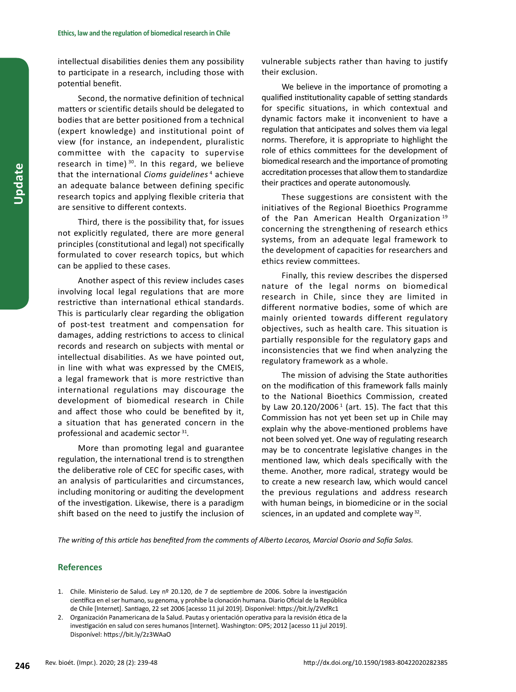intellectual disabilities denies them any possibility to participate in a research, including those with potential benefit.

Second, the normative definition of technical matters or scientific details should be delegated to bodies that are better positioned from a technical (expert knowledge) and institutional point of view (for instance, an independent, pluralistic committee with the capacity to supervise research in time) $30$ . In this regard, we believe that the international *Cioms guidelines* <sup>4</sup> achieve an adequate balance between defining specific research topics and applying flexible criteria that are sensitive to different contexts.

Third, there is the possibility that, for issues not explicitly regulated, there are more general principles (constitutional and legal) not specifically formulated to cover research topics, but which can be applied to these cases.

Another aspect of this review includes cases involving local legal regulations that are more restrictive than international ethical standards. This is particularly clear regarding the obligation of post-test treatment and compensation for damages, adding restrictions to access to clinical records and research on subjects with mental or intellectual disabilities. As we have pointed out, in line with what was expressed by the CMEIS, a legal framework that is more restrictive than international regulations may discourage the development of biomedical research in Chile and affect those who could be benefited by it, a situation that has generated concern in the professional and academic sector <sup>31</sup>*.*

More than promoting legal and guarantee regulation, the international trend is to strengthen the deliberative role of CEC for specific cases, with an analysis of particularities and circumstances, including monitoring or auditing the development of the investigation. Likewise, there is a paradigm shift based on the need to justify the inclusion of vulnerable subjects rather than having to justify their exclusion.

We believe in the importance of promoting a qualified institutionality capable of setting standards for specific situations, in which contextual and dynamic factors make it inconvenient to have a regulation that anticipates and solves them via legal norms. Therefore, it is appropriate to highlight the role of ethics committees for the development of biomedical research and the importance of promoting accreditation processes that allow them to standardize their practices and operate autonomously.

These suggestions are consistent with the initiatives of the Regional Bioethics Programme of the Pan American Health Organization<sup>19</sup> concerning the strengthening of research ethics systems, from an adequate legal framework to the development of capacities for researchers and ethics review committees.

Finally, this review describes the dispersed nature of the legal norms on biomedical research in Chile, since they are limited in different normative bodies, some of which are mainly oriented towards different regulatory objectives, such as health care. This situation is partially responsible for the regulatory gaps and inconsistencies that we find when analyzing the regulatory framework as a whole.

The mission of advising the State authorities on the modification of this framework falls mainly to the National Bioethics Commission, created by Law 20.120/2006<sup>1</sup> (art. 15). The fact that this Commission has not yet been set up in Chile may explain why the above-mentioned problems have not been solved yet. One way of regulating research may be to concentrate legislative changes in the mentioned law, which deals specifically with the theme. Another, more radical, strategy would be to create a new research law, which would cancel the previous regulations and address research with human beings, in biomedicine or in the social sciences, in an updated and complete way <sup>32</sup>*.*

*The writing of this article has benefited from the comments of Alberto Lecaros, Marcial Osorio and Sofía Salas.*

# **References**

- 1. Chile. Ministerio de Salud. Ley nº 20.120, de 7 de septiembre de 2006. Sobre la investigación científica en el ser humano, su genoma, y prohíbe la clonación humana. Diario Oficial de la República de Chile [Internet]. Santiago, 22 set 2006 [acesso 11 jul 2019]. Disponível: https://bit.ly/2VxfRc1
- 2. Organización Panamericana de la Salud. Pautas y orientación operativa para la revisión ética de la investigación en salud con seres humanos [Internet]. Washington: OPS; 2012 [acesso 11 jul 2019]. Disponível: https://bit.ly/2z3WAaO

**Update**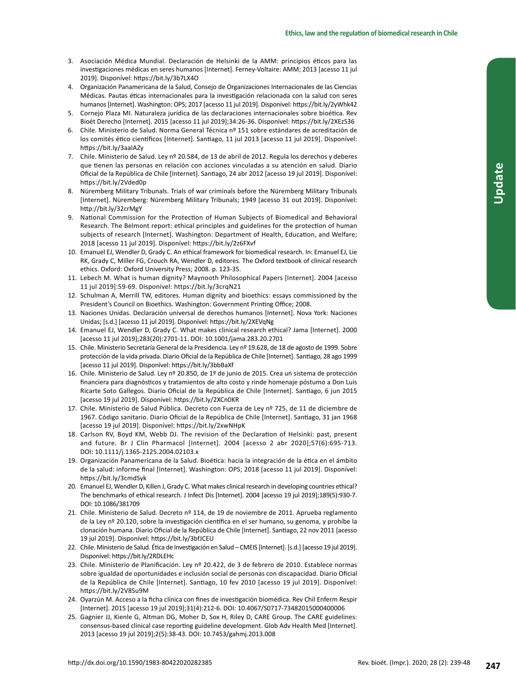- 3. Asociación Médica Mundial. Declaración de Helsinki de la AMM: principios éticos para las investigaciones médicas en seres humanos [Internet]. Ferney-Voltaire: AMM; 2013 [acesso 11 jul 2019]. Disponível: https://bit.ly/3b7LX4O
- 4. Organización Panamericana de la Salud, Consejo de Organizaciones Internacionales de las Ciencias Médicas. Pautas éticas internacionales para la investigación relacionada con la salud con seres humanos [Internet]. Washington: OPS; 2017 [acesso 11 jul 2019]. Disponível: https://bit.ly/2yWhk42
- 5. Cornejo Plaza MI. Naturaleza jurídica de las declaraciones internacionales sobre bioética. Rev Bioét Derecho [Internet]. 2015 [acesso 11 jul 2019];34:26-36. Disponível: https://bit.ly/2XEzS36
- 6. Chile. Ministerio de Salud. Norma General Técnica nº 151 sobre estándares de acreditación de los comités ético científicos [Internet]. Santiago, 11 jul 2013 [acesso 11 jul 2019]. Disponível: https://bit.ly/3aaIAZy
- 7. Chile. Ministerio de Salud. Ley nº 20.584, de 13 de abril de 2012. Regula los derechos y deberes que tienen las personas en relación con acciones vinculadas a su atención en salud. Diario Oficial de la República de Chile [Internet]. Santiago, 24 abr 2012 [acesso 19 jul 2019]. Disponível: https://bit.ly/2Vded0p
- 8. Nüremberg Military Tribunals. Trials of war criminals before the Nüremberg Military Tribunals [Internet]. Nüremberg: Nüremberg Military Tribunals; 1949 [acesso 31 out 2019]. Disponível: http://bit.ly/32crMgY
- 9. National Commission for the Protection of Human Subjects of Biomedical and Behavioral Research. The Belmont report: ethical principles and guidelines for the protection of human subjects of research [Internet]. Washington: Department of Health, Education, and Welfare; 2018 [acesso 11 jul 2019]. Disponível: https://bit.ly/2z6FXvf
- 10. Emanuel EJ, Wendler D, Grady C. An ethical framework for biomedical research. In: Emanuel EJ, Lie RK, Grady C, Miller FG, Crouch RA, Wendler D, editores. The Oxford textbook of clinical research ethics. Oxford: Oxford University Press; 2008. p. 123-35.
- 11. Lebech M. What is human dignity? Maynooth Philosophical Papers [Internet]. 2004 [acesso 11 jul 2019]:59-69. Disponível: https://bit.ly/3crqN21
- 12. Schulman A, Merrill TW, editores. Human dignity and bioethics: essays commissioned by the President's Council on Bioethics. Washington: Government Printing Office; 2008.
- 13. Naciones Unidas. Declaración universal de derechos humanos [Internet]. Nova York: Naciones Unidas; [s.d.] [acesso 11 jul 2019]. Disponível: https://bit.ly/2XEVqNg
- 14. Emanuel EJ, Wendler D, Grady C. What makes clinical research ethical? Jama [Internet]. 2000 [acesso 11 jul 2019];283(20):2701-11. DOI: 10.1001/jama.283.20.2701
- 15. Chile. Ministerio Secretaría General de la Presidencia. Ley nº 19.628, de 18 de agosto de 1999. Sobre protección de la vida privada. Diario Oficial de la República de Chile [Internet]. Santiago, 28 ago 1999 [acesso 11 jul 2019]. Disponível: https://bit.ly/3bbBaXf
- 16. Chile. Ministerio de Salud. Ley nº 20.850, de 1º de junio de 2015. Crea un sistema de protección financiera para diagnósticos y tratamientos de alto costo y rinde homenaje póstumo a Don Luis Ricarte Soto Gallegos. Diario Oficial de la República de Chile [Internet]. Santiago, 6 jun 2015 [acesso 19 jul 2019]. Disponível: https://bit.ly/2XCn0KR
- 17. Chile. Ministerio de Salud Pública. Decreto con Fuerza de Ley nº 725, de 11 de diciembre de 1967. Código sanitario. Diario Oficial de la República de Chile [Internet]. Santiago, 31 jan 1968 [acesso 19 jul 2019]. Disponível: https://bit.ly/2xwNHpK
- 18. Carlson RV, Boyd KM, Webb DJ. The revision of the Declaration of Helsinki: past, present and future. Br J Clin Pharmacol [Internet]. 2004 [acesso 2 abr 2020];57(6):695-713. DOI: 10.1111/j.1365-2125.2004.02103.x
- 19. Organización Panamericana de la Salud. Bioética: hacia la integración de la ética en el ámbito de la salud: informe final [Internet]. Washington: OPS; 2018 [acesso 11 jul 2019]. Disponível: https://bit.ly/3cmdSyk
- 20. Emanuel EJ, Wendler D, Killen J, Grady C. What makes clinical research in developing countries ethical? The benchmarks of ethical research. J Infect Dis [Internet]. 2004 [acesso 19 jul 2019];189(5):930-7. DOI: 10.1086/381709
- 21. Chile. Ministerio de Salud. Decreto nº 114, de 19 de noviembre de 2011. Aprueba reglamento de la Ley nº 20.120, sobre la investigación científica en el ser humano, su genoma, y prohíbe la clonación humana. Diario Oficial de la República de Chile [Internet]. Santiago, 22 nov 2011 [acesso 19 jul 2019]. Disponível: https://bit.ly/3bfJCEU
- 22. Chile. Ministerio de Salud. Ética de Investigación en Salud CMEIS [Internet]. [s.d.] [acesso 19 jul 2019]. Disponível: https://bit.ly/2RDLEHc
- 23. Chile. Ministerio de Planificación. Ley nº 20.422, de 3 de febrero de 2010. Establece normas sobre igualdad de oportunidades e inclusión social de personas con discapacidad. Diario Oficial de la República de Chile [Internet]. Santiago, 10 fev 2010 [acesso 19 jul 2019]. Disponível: https://bit.ly/2V8Su9M
- 24. Oyarzún M. Acceso a la ficha clínica con fines de investigación biomédica. Rev Chil Enferm Respir [Internet]. 2015 [acesso 19 jul 2019];31(4):212-6. DOI: 10.4067/S0717-73482015000400006
- 25. Gagnier JJ, Kienle G, Altman DG, Moher D, Sox H, Riley D, CARE Group. The CARE guidelines: consensus-based clinical case reporting guideline development. Glob Adv Health Med [Internet]. 2013 [acesso 19 jul 2019];2(5):38-43. DOI: 10.7453/gahmj.2013.008